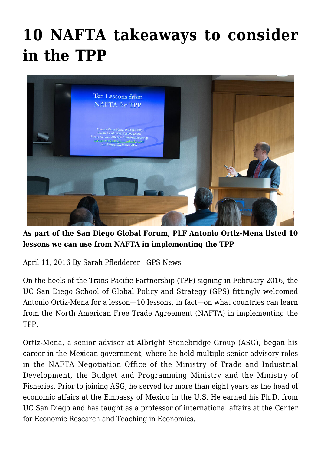# **[10 NAFTA takeaways to consider](https://gpsnews.ucsd.edu/10-nafta-takeaways-to-consider-in-the-tpp/) [in the TPP](https://gpsnews.ucsd.edu/10-nafta-takeaways-to-consider-in-the-tpp/)**



**As part of the San Diego Global Forum, PLF Antonio Ortiz-Mena listed 10 lessons we can use from NAFTA in implementing the TPP**

April 11, 2016 By Sarah Pfledderer | GPS News

On the heels of the Trans-Pacific Partnership (TPP) signing in February 2016, the UC San Diego School of Global Policy and Strategy (GPS) fittingly welcomed Antonio Ortiz-Mena for a lesson—10 lessons, in fact—on what countries can learn from the North American Free Trade Agreement (NAFTA) in implementing the TPP.

Ortiz-Mena, a senior advisor at Albright Stonebridge Group (ASG), began his career in the Mexican government, where he held multiple senior advisory roles in the NAFTA Negotiation Office of the Ministry of Trade and Industrial Development, the Budget and Programming Ministry and the Ministry of Fisheries. Prior to joining ASG, he served for more than eight years as the head of economic affairs at the Embassy of Mexico in the U.S. He earned his Ph.D. from UC San Diego and has taught as a professor of international affairs at the Center for Economic Research and Teaching in Economics.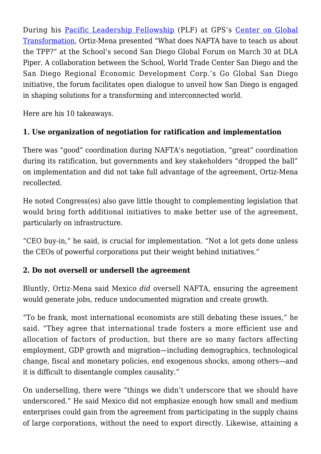During his [Pacific Leadership Fellowship](http://cgt.ucsd.edu/fellows/upcoming/antonio-ortiz-mena.html) (PLF) at GPS's [Center on Global](http://cgt.ucsd.edu/) [Transformation,](http://cgt.ucsd.edu/) Ortiz-Mena presented "What does NAFTA have to teach us about the TPP?" at the School's second San Diego Global Forum on March 30 at DLA Piper. A collaboration between the School, World Trade Center San Diego and the San Diego Regional Economic Development Corp.'s Go Global San Diego initiative, the forum facilitates open dialogue to unveil how San Diego is engaged in shaping solutions for a transforming and interconnected world.

Here are his 10 takeaways.

# **1. Use organization of negotiation for ratification and implementation**

There was "good" coordination during NAFTA's negotiation, "great" coordination during its ratification, but governments and key stakeholders "dropped the ball" on implementation and did not take full advantage of the agreement, Ortiz-Mena recollected.

He noted Congress(es) also gave little thought to complementing legislation that would bring forth additional initiatives to make better use of the agreement, particularly on infrastructure.

"CEO buy-in," he said, is crucial for implementation. "Not a lot gets done unless the CEOs of powerful corporations put their weight behind initiatives."

## **2. Do not oversell or undersell the agreement**

Bluntly, Ortiz-Mena said Mexico *did* oversell NAFTA, ensuring the agreement would generate jobs, reduce undocumented migration and create growth.

"To be frank, most international economists are still debating these issues," he said. "They agree that international trade fosters a more efficient use and allocation of factors of production, but there are so many factors affecting employment, GDP growth and migration—including demographics, technological change, fiscal and monetary policies, end exogenous shocks, among others—and it is difficult to disentangle complex causality."

On underselling, there were "things we didn't underscore that we should have underscored." He said Mexico did not emphasize enough how small and medium enterprises could gain from the agreement from participating in the supply chains of large corporations, without the need to export directly. Likewise, attaining a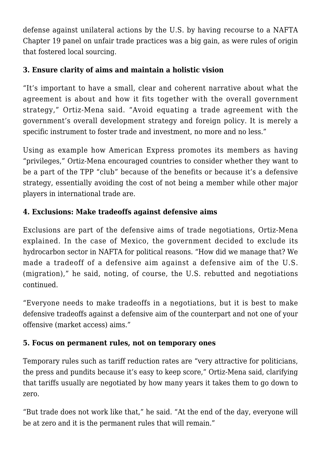defense against unilateral actions by the U.S. by having recourse to a NAFTA Chapter 19 panel on unfair trade practices was a big gain, as were rules of origin that fostered local sourcing.

#### **3. Ensure clarity of aims and maintain a holistic vision**

"It's important to have a small, clear and coherent narrative about what the agreement is about and how it fits together with the overall government strategy," Ortiz-Mena said. "Avoid equating a trade agreement with the government's overall development strategy and foreign policy. It is merely a specific instrument to foster trade and investment, no more and no less."

Using as example how American Express promotes its members as having "privileges," Ortiz-Mena encouraged countries to consider whether they want to be a part of the TPP "club" because of the benefits or because it's a defensive strategy, essentially avoiding the cost of not being a member while other major players in international trade are.

# **4. Exclusions: Make tradeoffs against defensive aims**

Exclusions are part of the defensive aims of trade negotiations, Ortiz-Mena explained. In the case of Mexico, the government decided to exclude its hydrocarbon sector in NAFTA for political reasons. "How did we manage that? We made a tradeoff of a defensive aim against a defensive aim of the U.S. (migration)," he said, noting, of course, the U.S. rebutted and negotiations continued.

"Everyone needs to make tradeoffs in a negotiations, but it is best to make defensive tradeoffs against a defensive aim of the counterpart and not one of your offensive (market access) aims."

# **5. Focus on permanent rules, not on temporary ones**

Temporary rules such as tariff reduction rates are "very attractive for politicians, the press and pundits because it's easy to keep score," Ortiz-Mena said, clarifying that tariffs usually are negotiated by how many years it takes them to go down to zero.

"But trade does not work like that," he said. "At the end of the day, everyone will be at zero and it is the permanent rules that will remain."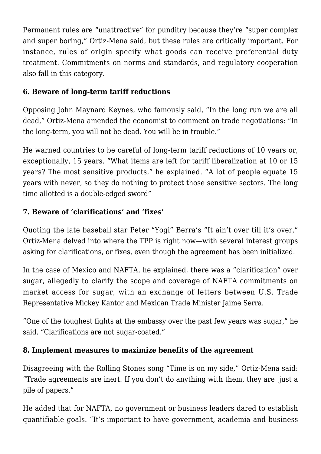Permanent rules are "unattractive" for punditry because they're "super complex and super boring," Ortiz-Mena said, but these rules are critically important. For instance, rules of origin specify what goods can receive preferential duty treatment. Commitments on norms and standards, and regulatory cooperation also fall in this category.

#### **6. Beware of long-term tariff reductions**

Opposing John Maynard Keynes, who famously said, "In the long run we are all dead," Ortiz-Mena amended the economist to comment on trade negotiations: "In the long-term, you will not be dead. You will be in trouble."

He warned countries to be careful of long-term tariff reductions of 10 years or, exceptionally, 15 years. "What items are left for tariff liberalization at 10 or 15 years? The most sensitive products," he explained. "A lot of people equate 15 years with never, so they do nothing to protect those sensitive sectors. The long time allotted is a double-edged sword"

## **7. Beware of 'clarifications' and 'fixes'**

Quoting the late baseball star Peter "Yogi" Berra's "It ain't over till it's over," Ortiz-Mena delved into where the TPP is right now—with several interest groups asking for clarifications, or fixes, even though the agreement has been initialized.

In the case of Mexico and NAFTA, he explained, there was a "clarification" over sugar, allegedly to clarify the scope and coverage of NAFTA commitments on market access for sugar, with an exchange of letters between U.S. Trade Representative Mickey Kantor and Mexican Trade Minister Jaime Serra.

"One of the toughest fights at the embassy over the past few years was sugar," he said. "Clarifications are not sugar-coated."

## **8. Implement measures to maximize benefits of the agreement**

Disagreeing with the Rolling Stones song "Time is on my side," Ortiz-Mena said: "Trade agreements are inert. If you don't do anything with them, they are just a pile of papers."

He added that for NAFTA, no government or business leaders dared to establish quantifiable goals. "It's important to have government, academia and business